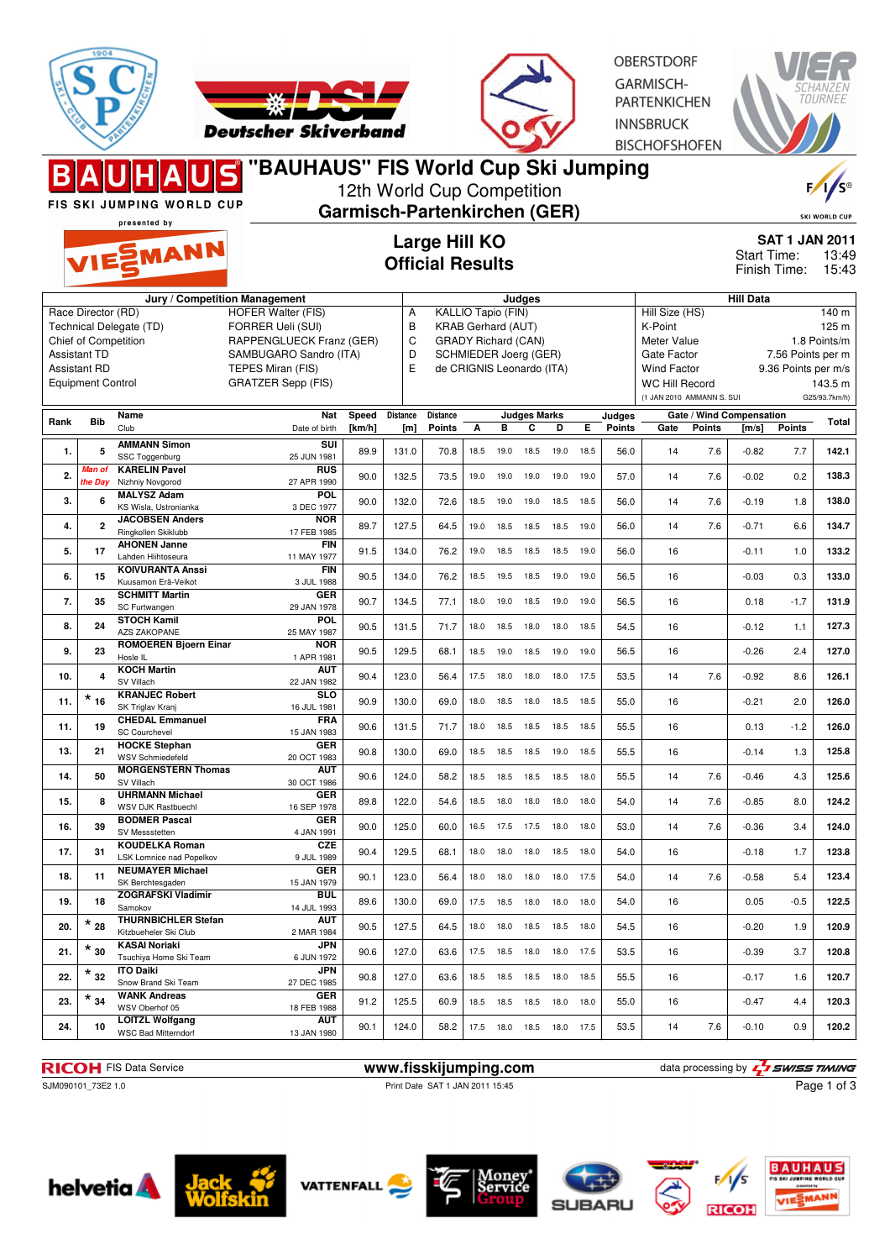



OBERSTDORF GARMISCH-PARTENKICHEN **INNSBRUCK BISCHOFSHOFEN** 

|                                                                                                                                                                                  |                   | FIS SKI JUMPING WORLD CUP<br>presented by            | 'BAUHAUS" FIS World Cup Ski Jumping                                                                                                                    |                                          |                                                                                                                                                             | 12th World Cup Competition<br><b>Garmisch-Partenkirchen (GER)</b> |      |      |                              |                |                                                                                                                                     |               |                                                                                                                            |                          |                                       |                | $\frac{1}{s}$<br><b>SKI WORLD CUP</b> |
|----------------------------------------------------------------------------------------------------------------------------------------------------------------------------------|-------------------|------------------------------------------------------|--------------------------------------------------------------------------------------------------------------------------------------------------------|------------------------------------------|-------------------------------------------------------------------------------------------------------------------------------------------------------------|-------------------------------------------------------------------|------|------|------------------------------|----------------|-------------------------------------------------------------------------------------------------------------------------------------|---------------|----------------------------------------------------------------------------------------------------------------------------|--------------------------|---------------------------------------|----------------|---------------------------------------|
|                                                                                                                                                                                  |                   | VIESMANN                                             |                                                                                                                                                        | Large Hill KO<br><b>Official Results</b> |                                                                                                                                                             |                                                                   |      |      |                              |                |                                                                                                                                     |               |                                                                                                                            | Start Time:              | <b>SAT 1 JAN 2011</b><br>Finish Time: | 13:49<br>15:43 |                                       |
| Jury / Competition Management<br>Race Director (RD)<br>Technical Delegate (TD)<br>Chief of Competition<br><b>Assistant TD</b><br><b>Assistant RD</b><br><b>Equipment Control</b> |                   |                                                      | <b>HOFER Walter (FIS)</b><br>FORRER Ueli (SUI)<br>RAPPENGLUECK Franz (GER)<br>SAMBUGARO Sandro (ITA)<br>TEPES Miran (FIS)<br><b>GRATZER Sepp (FIS)</b> | Α<br>В<br>C<br>D<br>E                    | Judges<br><b>KALLIO Tapio (FIN)</b><br><b>KRAB Gerhard (AUT)</b><br><b>GRADY Richard (CAN)</b><br><b>SCHMIEDER Joerg (GER)</b><br>de CRIGNIS Leonardo (ITA) |                                                                   |      |      |                              |                | Hill Size (HS)<br>K-Point<br>Meter Value<br>Gate Factor<br><b>Wind Factor</b><br><b>WC Hill Record</b><br>(1 JAN 2010 AMMANN S. SUI |               | <b>Hill Data</b><br>140 m<br>125 m<br>1.8 Points/m<br>7.56 Points per m<br>9.36 Points per m/s<br>143.5 m<br>G25/93.7km/h) |                          |                                       |                |                                       |
|                                                                                                                                                                                  |                   | Name                                                 | Nat                                                                                                                                                    | Speed                                    | <b>Distance</b>                                                                                                                                             | <b>Distance</b>                                                   |      |      | <b>Judges Marks</b>          |                |                                                                                                                                     | Judges        |                                                                                                                            | Gate / Wind Compensation |                                       |                |                                       |
| Rank                                                                                                                                                                             | <b>Bib</b>        | Club                                                 | Date of birth                                                                                                                                          | [km/h]                                   | [m]                                                                                                                                                         | <b>Points</b>                                                     | А    | в    | С                            | D              | Е                                                                                                                                   | <b>Points</b> | Gate                                                                                                                       | <b>Points</b>            | [m/s]                                 | <b>Points</b>  | <b>Total</b>                          |
| 1.                                                                                                                                                                               | 5                 | <b>AMMANN Simon</b><br>SSC Toggenburg                | SUI<br>25 JUN 1981                                                                                                                                     | 89.9                                     | 131.0                                                                                                                                                       | 70.8                                                              | 18.5 | 19.0 | 18.5                         | 19.0           | 18.5                                                                                                                                | 56.0          | 14                                                                                                                         | 7.6                      | $-0.82$                               | 7.7            | 142.1                                 |
| 2.                                                                                                                                                                               | Man of<br>the Day | <b>KARELIN Pavel</b><br>Nizhniy Novgorod             | RUS<br>27 APR 1990                                                                                                                                     | 90.0                                     | 132.5                                                                                                                                                       | 73.5                                                              | 19.0 | 19.0 | 19.0                         | 19.0           | 19.0                                                                                                                                | 57.0          | 14                                                                                                                         | 7.6                      | $-0.02$                               | 0.2            | 138.3                                 |
| 3.                                                                                                                                                                               | 6                 | <b>MALYSZ Adam</b><br>KS Wisla, Ustronianka          | POL<br>3 DEC 1977                                                                                                                                      | 90.0                                     | 132.0                                                                                                                                                       | 72.6                                                              | 18.5 | 19.0 | 19.0                         | 18.5           | 18.5                                                                                                                                | 56.0          | 14                                                                                                                         | 7.6                      | $-0.19$                               | 1.8            | 138.0                                 |
| 4.                                                                                                                                                                               | $\mathbf{2}$      | <b>JACOBSEN Anders</b><br>Ringkollen Skiklubb        | <b>NOR</b><br>17 FEB 1985                                                                                                                              | 89.7                                     | 127.5                                                                                                                                                       | 64.5                                                              | 19.0 | 18.5 | 18.5                         | 18.5           | 19.0                                                                                                                                | 56.0          | 14                                                                                                                         | 7.6                      | $-0.71$                               | 6.6            | 134.7                                 |
| 5.                                                                                                                                                                               | 17                | <b>AHONEN Janne</b><br>Lahden Hiihtoseura            | <b>FIN</b><br>11 MAY 1977                                                                                                                              | 91.5                                     | 134.0                                                                                                                                                       | 76.2                                                              | 19.0 | 18.5 | 18.5                         | 18.5           | 19.0                                                                                                                                | 56.0          | 16                                                                                                                         |                          | $-0.11$                               | 1.0            | 133.2                                 |
| 6.                                                                                                                                                                               | 15                | <b>KOIVURANTA Anssi</b><br>Kuusamon Erä-Veikot       | <b>FIN</b><br>3 JUL 1988                                                                                                                               | 90.5                                     | 134.0                                                                                                                                                       | 76.2                                                              | 18.5 | 19.5 | 18.5                         | 19.0           | 19.0                                                                                                                                | 56.5          | 16                                                                                                                         |                          | $-0.03$                               | 0.3            | 133.0                                 |
| 7.                                                                                                                                                                               | 35                | <b>SCHMITT Martin</b><br>SC Furtwangen               | <b>GER</b><br>29 JAN 1978                                                                                                                              | 90.7                                     | 134.5                                                                                                                                                       | 77.1                                                              | 18.0 | 19.0 | 18.5                         | 19.0           | 19.0                                                                                                                                | 56.5          | 16                                                                                                                         |                          | 0.18                                  | $-1.7$         | 131.9                                 |
| 8.                                                                                                                                                                               | 24                | <b>STOCH Kamil</b><br><b>AZS ZAKOPANE</b>            | POL.<br>25 MAY 1987                                                                                                                                    | 90.5                                     | 131.5                                                                                                                                                       | 71.7                                                              | 18.0 | 18.5 | 18.0                         | 18.0           | 18.5                                                                                                                                | 54.5          | 16                                                                                                                         |                          | $-0.12$                               | 1.1            | 127.3                                 |
| 9.                                                                                                                                                                               | 23                | <b>ROMOEREN Bjoern Einar</b><br>Hosle IL             | <b>NOR</b><br>1 APR 1981                                                                                                                               | 90.5                                     | 129.5                                                                                                                                                       | 68.1                                                              | 18.5 | 19.0 | 18.5                         | 19.0           | 19.0                                                                                                                                | 56.5          | 16                                                                                                                         |                          | $-0.26$                               | 2.4            | 127.0                                 |
| 10.                                                                                                                                                                              | 4                 | <b>KOCH Martin</b><br>SV Villach                     | <b>AUT</b><br>22 JAN 1982                                                                                                                              | 90.4                                     | 123.0                                                                                                                                                       | 56.4                                                              | 17.5 | 18.0 | 18.0                         | 18.0           | 17.5                                                                                                                                | 53.5          | 14                                                                                                                         | 7.6                      | $-0.92$                               | 8.6            | 126.1                                 |
| 11.                                                                                                                                                                              | $*_{16}$          | <b>KRANJEC Robert</b><br>SK Triglav Kranj            | <b>SLO</b><br>16 JUL 1981                                                                                                                              | 90.9                                     | 130.0                                                                                                                                                       | 69.0                                                              | 18.0 | 18.5 | 18.0                         | 18.5           | 18.5                                                                                                                                | 55.0          | 16                                                                                                                         |                          | $-0.21$                               | 2.0            | 126.0                                 |
| 11.                                                                                                                                                                              | 19                | <b>CHEDAL Emmanuel</b><br><b>SC Courchevel</b>       | <b>FRA</b><br>15 JAN 1983                                                                                                                              | 90.6                                     | 131.5                                                                                                                                                       | 71.7                                                              | 18.0 | 18.5 | 18.5                         | 18.5 18.5      |                                                                                                                                     | 55.5          | 16                                                                                                                         |                          | 0.13                                  | $-1.2$         | 126.0                                 |
| 13.                                                                                                                                                                              | 21                | <b>HOCKE Stephan</b><br>WSV Schmiedefeld             | <b>GER</b><br>20 OCT 1983                                                                                                                              | 90.8                                     | 130.0                                                                                                                                                       | 69.0                                                              | 18.5 | 18.5 | 18.5                         | 19.0           | 18.5                                                                                                                                | 55.5          | 16                                                                                                                         |                          | $-0.14$                               | 1.3            | 125.8                                 |
| 14.                                                                                                                                                                              | 50                | <b>MORGENSTERN Thomas</b><br>SV Villach              | <b>AUT</b><br>30 OCT 1986                                                                                                                              | 90.6                                     | 124.0                                                                                                                                                       | 58.2                                                              | 18.5 | 18.5 | 18.5                         | 18.5           | 18.0                                                                                                                                | 55.5          | 14                                                                                                                         | 7.6                      | $-0.46$                               | 4.3            | 125.6                                 |
| 15.                                                                                                                                                                              | 8                 | <b>UHRMANN Michael</b><br><b>WSV DJK Rastbuechl</b>  | <b>GER</b><br>16 SEP 1978                                                                                                                              | 89.8                                     | 122.0                                                                                                                                                       | 54.6                                                              | 18.5 | 18.0 | 18.0                         | 18.0           | 18.0                                                                                                                                | 54.0          | 14                                                                                                                         | 7.6                      | $-0.85$                               | 8.0            | 124.2                                 |
| 16.                                                                                                                                                                              | 39                | <b>BODMER Pascal</b><br>SV Messstetten               | <b>GER</b><br>4 JAN 1991                                                                                                                               | 90.0                                     | 125.0                                                                                                                                                       | 60.0                                                              | 16.5 | 17.5 | 17.5                         | 18.0           | 18.0                                                                                                                                | 53.0          | 14                                                                                                                         | 7.6                      | $-0.36$                               | 3.4            | 124.0                                 |
| 17.                                                                                                                                                                              | 31                | <b>KOUDELKA Roman</b><br>LSK Lomnice nad Popelkov    | CZE<br>9 JUL 1989                                                                                                                                      | 90.4                                     | 129.5                                                                                                                                                       | 68.1                                                              | 18.0 | 18.0 | 18.0                         | 18.5 18.0      |                                                                                                                                     | 54.0          | 16                                                                                                                         |                          | $-0.18$                               | 1.7            | 123.8                                 |
| 18.                                                                                                                                                                              | 11                | <b>NEUMAYER Michael</b><br>SK Berchtesgaden          | <b>GER</b><br>15 JAN 1979                                                                                                                              | 90.1                                     | 123.0                                                                                                                                                       | 56.4                                                              | 18.0 | 18.0 | 18.0                         | 18.0           | 17.5                                                                                                                                | 54.0          | 14                                                                                                                         | 7.6                      | $-0.58$                               | 5.4            | 123.4                                 |
| 19.                                                                                                                                                                              | 18                | <b>ZOGRAFSKI Vladimir</b><br>Samokov                 | BUL<br>14 JUL 1993                                                                                                                                     | 89.6                                     | 130.0                                                                                                                                                       | 69.0                                                              | 17.5 | 18.5 | 18.0                         | 18.0           | 18.0                                                                                                                                | 54.0          | 16                                                                                                                         |                          | 0.05                                  | $-0.5$         | 122.5                                 |
| 20.                                                                                                                                                                              | $^\star$ 28       | <b>THURNBICHLER Stefan</b><br>Kitzbueheler Ski Club  | <b>AUT</b><br>2 MAR 1984                                                                                                                               | 90.5                                     | 127.5                                                                                                                                                       | 64.5                                                              | 18.0 | 18.0 |                              | 18.5 18.5 18.0 |                                                                                                                                     | 54.5          | 16                                                                                                                         |                          | $-0.20$                               | 1.9            | 120.9                                 |
| 21.                                                                                                                                                                              | $^\star$ 30       | <b>KASAI Noriaki</b><br>Tsuchiya Home Ski Team       | <b>JPN</b><br>6 JUN 1972                                                                                                                               | 90.6                                     | 127.0                                                                                                                                                       | 63.6                                                              | 17.5 | 18.5 | 18.0 18.0 17.5               |                |                                                                                                                                     | 53.5          | 16                                                                                                                         |                          | $-0.39$                               | 3.7            | 120.8                                 |
| 22.                                                                                                                                                                              | $^\star$ 32       | <b>ITO Daiki</b><br>Snow Brand Ski Team              | <b>JPN</b><br>27 DEC 1985                                                                                                                              | 90.8                                     | 127.0                                                                                                                                                       | 63.6                                                              | 18.5 | 18.5 | 18.5                         | 18.0           | 18.5                                                                                                                                | 55.5          | 16                                                                                                                         |                          | $-0.17$                               | 1.6            | 120.7                                 |
| 23.                                                                                                                                                                              | $\star$ 34        | <b>WANK Andreas</b><br>WSV Oberhof 05                | <b>GER</b><br>18 FEB 1988                                                                                                                              | 91.2                                     | 125.5                                                                                                                                                       | 60.9                                                              | 18.5 | 18.5 | 18.5                         | 18.0           | 18.0                                                                                                                                | 55.0          | 16                                                                                                                         |                          | $-0.47$                               | 4.4            | 120.3                                 |
| 24.                                                                                                                                                                              | 10                | <b>LOITZL Wolfgang</b><br><b>WSC Bad Mitterndorf</b> | <b>AUT</b><br>13 JAN 1980                                                                                                                              | 90.1                                     | 124.0                                                                                                                                                       | 58.2                                                              |      |      | 17.5  18.0  18.5  18.0  17.5 |                |                                                                                                                                     | 53.5          | 14                                                                                                                         | 7.6                      | $-0.10$                               | 0.9            | 120.2                                 |

**RICOH** FIS Data Service **www.fisskijumping.com** data processing by  $\frac{1}{2}$  SWISS TIMING SALMO90101\_73E2 1.0<br>
Print Date SAT 1 JAN 2011 15:45 Page 1 of 3 Print Date SAT 1 JAN 2011 15:45

Page 1 of 3















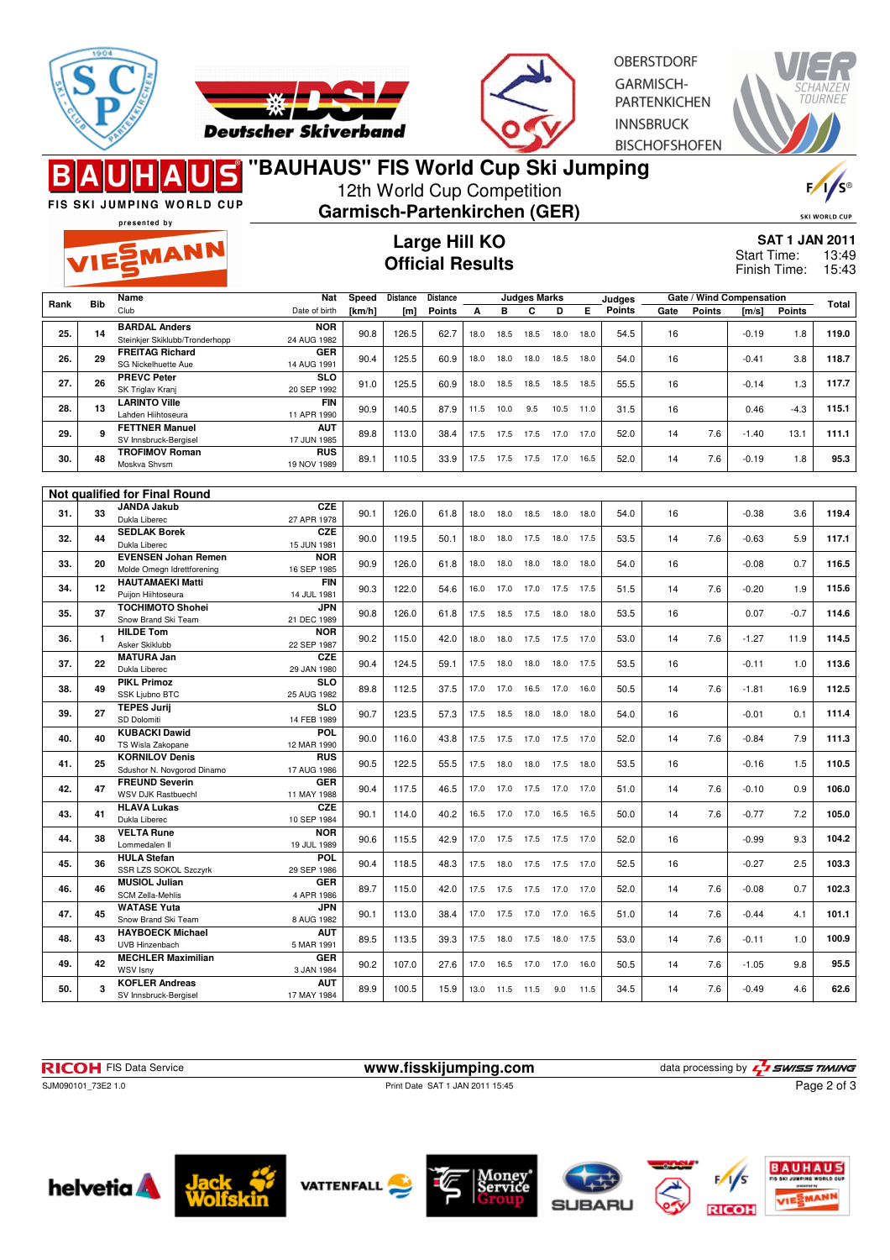



OBERSTDORE **GARMISCH-PARTENKICHEN INNSBRUCK BISCHOFSHOFEN** 



12th World Cup Competition FIS SKI JUMPING WORLD CUP **Garmisch-Partenkirchen (GER)** SKI WORLD CUP presented by **Large Hill KO SAT 1 JAN 2011** EMANN Start Time: 13:49 **Official Results** Finish Time: 15:43 **Speed Distance Distance Judges Marks Rank Bib Name Nat Judges Gate / Wind Compensation Gate Points [m/s] Points Total** Date of birth **Points** Club **[km/h] [m] Points A B C D E 25. 14 BARDAL Anders NOR** 24 AUG 1982 90.8 126.5 62.7 18.0 18.5 18.5 18.0 18.0 54.5 16 -0.19 1.8 **119.0** inkier Skiklubb/Tronderhopp 26. 29 **FREITAG Richard GER** 14 AUG 1991 90.4 125.5 60.9 18.0 18.0 18.0 18.5 18.0 54.0 16 -0.41 3.8 **118.7** SG Nickelhuette Aue **SLO**<br>20 SEP 1992 **27. 26 PREVC Peter** SK Triglav Kranj 20 SEP 1992 91.0 125.5 60.9 18.0 18.5 18.5 18.5 18.5 55.5 16 -0.14 1.3 **117.7 28. 13 LARINTO Ville FIN**<br>11 APB 1990 11 APR 1990 90.9 140.5 87.9 11.5 10.0 9.5 10.5 11.0 31.5 16 0.46 -4.3 **115.1** Lahden Hiihtoseura **AUT**<br>17 JUN 1985 **29. 9 FETTNER Manuel** SV Innsbruck-Bergisel 17 JUN 1985 89.8 113.0 38.4 17.5 17.5 17.5 17.0 17.0 52.0 14 7.6 -1.40 13.1 **111.1 30. 48 TROFIMOV Roman RUS**<br>19 NOV 1989 19 NOV 1989 89.1 110.5 33.9 17.5 17.5 17.5 17.0 16.5 52.0 14 7.6 -0.19 1.8 **95.3** Moskva Shvsm **Not qualified for Final Round 31. 33 JANDA Jakub CZE**<br>27 APR 1978 27 APR 1978 90.1 126.0 61.8 18.0 18.0 18.5 18.0 18.0 54.0 16 -0.38 3.6 **119.4** Dukla Libere **32. 44 SEDLAK Borek CZE** 15 JUN 1981 90.0 119.5 50.1 18.0 18.0 17.5 18.0 17.5 53.5 14 7.6 -0.63 5.9 **117.1** Dukla Liberec **NOR 33.** 20 EVENSEN Johan Remen<br>Molde Omegn Idrettforening 16 SEP 1985 90.9 126.0 61.8 18.0 18.0 18.0 18.0 18.0 54.0 16 -0.08 0.7 **116.5 34. 12 HAUTAMAEKI Matti FIN** 14 JUL 1981 90.3 122.0 54.6 16.0 17.0 17.0 17.5 17.5 51.5 14 7.6 -0.20 1.9 **115.6** Puijon Hiihtoseura **35. 37 TOCHIMOTO Shohei JPN** 21 DEC 1989 90.8 126.0 61.8 17.5 18.5 17.5 18.0 18.0 53.5 16 0.07 -0.7 **114.6** Snow Brand Ski Team **36. 1 HILDE Tom NOR**<br>22 SEP 1987 22 SEP 1987 90.2 115.0 42.0 18.0 18.0 17.5 17.5 17.0 53.0 14 7.6 -1.27 11.9 **114.5** Asker Skiklubb **37. 22 MATURA Jan CZE** 29 JAN 1980 90.4 124.5 59.1 17.5 18.0 18.0 18.0 17.5 53.5 16 -0.11 1.0 **113.6** Dukla Liberec **38. 49 PIKL Primoz SLO**<br>25 AUG 1982 25 AUG 1982 89.8 112.5 37.5 17.0 17.0 16.5 17.0 16.0 50.5 14 7.6 -1.81 16.9 **112.5** SSK Liubno BTC **39. 27 TEPES Jurij SLO**<br>14 FEB 1989 14 FEB 1989 90.7 123.5 57.3 17.5 18.5 18.0 18.0 18.0 54.0 16 -0.01 0.1 **111.4** SD Dolomiti **40. 40 KUBACKI Dawid POL** 12 MAR 1990 90.0 116.0 43.8 17.5 17.5 17.0 17.5 17.0 52.0 14 7.6 -0.84 7.9 **111.3** TS Wisla Zakopane **41. 25 KORNILOV Denis RUS** 17 AUG 1986 90.5 122.5 55.5 17.5 18.0 18.0 17.5 18.0 53.5 16 -0.16 1.5 **110.5** Sdushor N. Novgorod Dinamo **42. 47 FREUND Severin GER**<br>11 MAY 1988 11 MAY 1988 90.4 117.5 46.5 17.0 17.0 17.5 17.0 17.0 51.0 14 7.6 -0.10 0.9 **106.0** WSV DJK Rastbuech **43. 41 HLAVA Lukas** CZE<br>10 SEP 1984 10 SEP 1984 90.1 114.0 40.2 16.5 17.0 17.0 16.5 16.5 50.0 14 7.6 -0.77 7.2 **105.0** Dukla Liberec **44. 38 VELTA Rune NOR** 19 JUL 1989 90.6 115.5 42.9 17.0 17.5 17.5 17.5 17.0 52.0 16 -0.99 9.3 **104.2** Lommedalen Il **45. 36 HULA Stefan POL**<br>29 SEP 1986 29 SEP 1986 90.4 118.5 48.3 17.5 18.0 17.5 17.5 17.0 52.5 16 -0.27 2.5 **103.3** SSR LZS SOKOL Szczyrk **46. 46 MUSIOL Julian GER**<br>4 APR 1986 4 APR 1986 89.7 115.0 42.0 17.5 17.5 17.5 17.0 17.0 52.0 14 7.6 -0.08 0.7 **102.3** SCM Zella-Mehlis **47. 45 WATASE Yuta JPN** 8 AUG 1982 90.1 113.0 38.4 17.0 17.5 17.0 17.0 16.5 51.0 14 7.6 -0.44 4.1 **101.1** Snow Brand Ski Team **48. 43 HAYBOECK Michael AUT**<br>5 MAR 1991 5 MAR 1991 89.5 113.5 39.3 17.5 18.0 17.5 18.0 17.5 53.0 14 7.6 -0.11 1.0 **100.9** UVB Hinzenbach **49. 42 MECHLER Maximilian GER**<br>3 JAN 1984 3 JAN 1984 90.2 107.0 27.6 17.0 16.5 17.0 17.0 16.0 50.5 14 7.6 -1.05 9.8 **95.5** WSV Isny





**50. 3 KOFLER Andreas**

SV Innsbruck-Bergisel





**AUT**





17 MAY 1984 89.9 100.5 15.9 13.0 11.5 11.5 9.0 11.5 34.5 14 7.6 -0.49 4.6 **62.6**